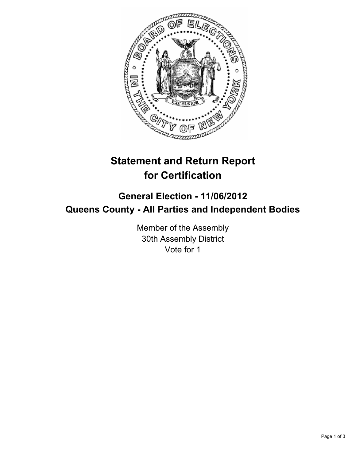

# **Statement and Return Report for Certification**

## **General Election - 11/06/2012 Queens County - All Parties and Independent Bodies**

Member of the Assembly 30th Assembly District Vote for 1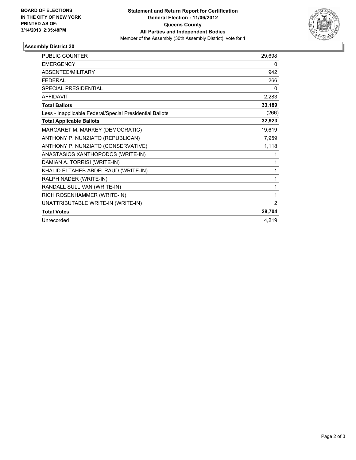

### **Assembly District 30**

| PUBLIC COUNTER                                           | 29,698 |
|----------------------------------------------------------|--------|
| <b>EMERGENCY</b>                                         | 0      |
| ABSENTEE/MILITARY                                        | 942    |
| <b>FEDERAL</b>                                           | 266    |
| <b>SPECIAL PRESIDENTIAL</b>                              | 0      |
| <b>AFFIDAVIT</b>                                         | 2,283  |
| <b>Total Ballots</b>                                     | 33,189 |
| Less - Inapplicable Federal/Special Presidential Ballots | (266)  |
| <b>Total Applicable Ballots</b>                          | 32,923 |
| MARGARET M. MARKEY (DEMOCRATIC)                          | 19,619 |
| ANTHONY P. NUNZIATO (REPUBLICAN)                         | 7,959  |
| ANTHONY P. NUNZIATO (CONSERVATIVE)                       | 1,118  |
| ANASTASIOS XANTHOPODOS (WRITE-IN)                        | 1      |
| DAMIAN A. TORRISI (WRITE-IN)                             | 1      |
| KHALID ELTAHEB ABDELRAUD (WRITE-IN)                      | 1      |
| RALPH NADER (WRITE-IN)                                   | 1      |
| RANDALL SULLIVAN (WRITE-IN)                              | 1      |
| RICH ROSENHAMMER (WRITE-IN)                              | 1      |
| UNATTRIBUTABLE WRITE-IN (WRITE-IN)                       | 2      |
| <b>Total Votes</b>                                       | 28,704 |
| Unrecorded                                               | 4,219  |